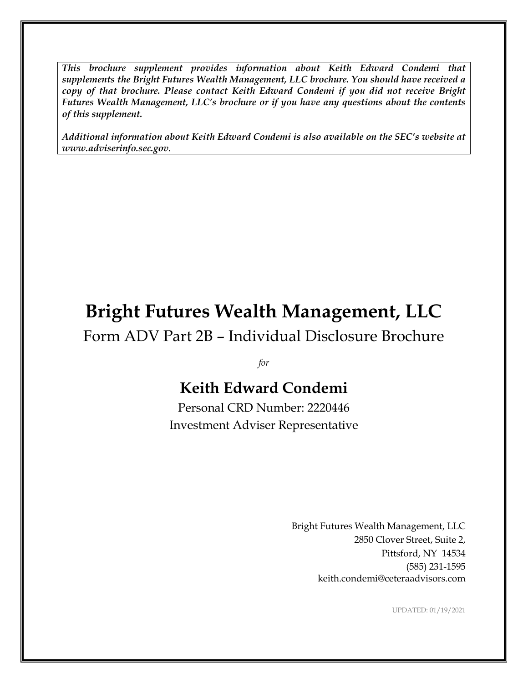*This brochure supplement provides information about Keith Edward Condemi that supplements the Bright Futures Wealth Management, LLC brochure. You should have received a copy of that brochure. Please contact Keith Edward Condemi if you did not receive Bright Futures Wealth Management, LLC's brochure or if you have any questions about the contents of this supplement.*

*Additional information about Keith Edward Condemi is also available on the SEC's website at www.adviserinfo.sec.gov.*

# **Bright Futures Wealth Management, LLC**

Form ADV Part 2B – Individual Disclosure Brochure

*for*

# **Keith Edward Condemi**

Personal CRD Number: 2220446 Investment Adviser Representative

> Bright Futures Wealth Management, LLC 2850 Clover Street, Suite 2, Pittsford, NY 14534 (585) 231-1595 keith.condemi@ceteraadvisors.com

> > UPDATED: 01/19/2021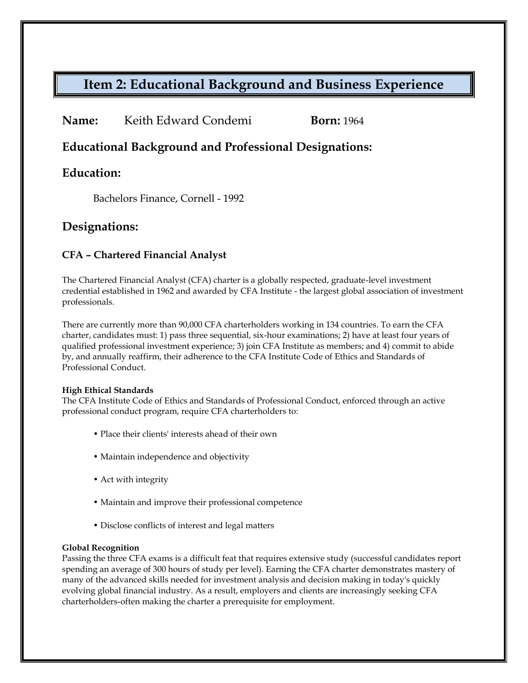# **Item 2: Educational Background and Business Experience**

**Name:** Keith Edward Condemi **Born:** 1964

**Educational Background and Professional Designations:**

### **Education:**

Bachelors Finance, Cornell - 1992

### **Designations:**

### **CFA – Chartered Financial Analyst**

The Chartered Financial Analyst (CFA) charter is a globally respected, graduate-level investment credential established in 1962 and awarded by CFA Institute - the largest global association of investment professionals.

There are currently more than 90,000 CFA charterholders working in 134 countries. To earn the CFA charter, candidates must: 1) pass three sequential, six-hour examinations; 2) have at least four years of qualified professional investment experience; 3) join CFA Institute as members; and 4) commit to abide by, and annually reaffirm, their adherence to the CFA Institute Code of Ethics and Standards of Professional Conduct.

#### **High Ethical Standards**

The CFA Institute Code of Ethics and Standards of Professional Conduct, enforced through an active professional conduct program, require CFA charterholders to:

- Place their clients' interests ahead of their own
- Maintain independence and objectivity
- Act with integrity
- Maintain and improve their professional competence
- Disclose conflicts of interest and legal matters

#### **Global Recognition**

Passing the three CFA exams is a difficult feat that requires extensive study (successful candidates report spending an average of 300 hours of study per level). Earning the CFA charter demonstrates mastery of many of the advanced skills needed for investment analysis and decision making in today's quickly evolving global financial industry. As a result, employers and clients are increasingly seeking CFA charterholders-often making the charter a prerequisite for employment.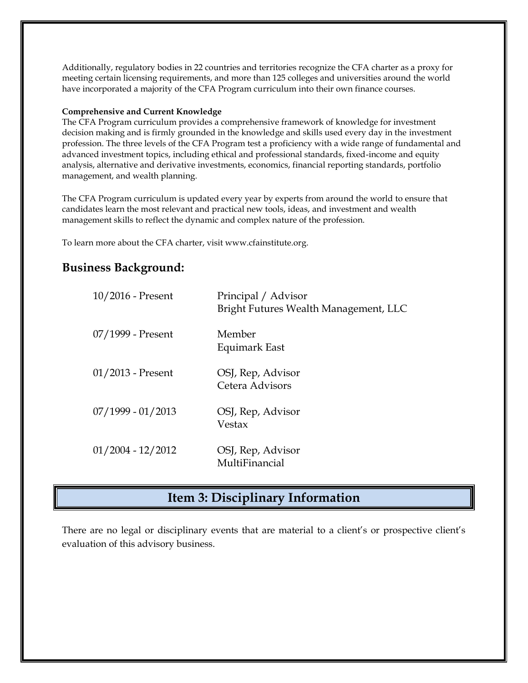Additionally, regulatory bodies in 22 countries and territories recognize the CFA charter as a proxy for meeting certain licensing requirements, and more than 125 colleges and universities around the world have incorporated a majority of the CFA Program curriculum into their own finance courses.

#### **Comprehensive and Current Knowledge**

The CFA Program curriculum provides a comprehensive framework of knowledge for investment decision making and is firmly grounded in the knowledge and skills used every day in the investment profession. The three levels of the CFA Program test a proficiency with a wide range of fundamental and advanced investment topics, including ethical and professional standards, fixed-income and equity analysis, alternative and derivative investments, economics, financial reporting standards, portfolio management, and wealth planning.

The CFA Program curriculum is updated every year by experts from around the world to ensure that candidates learn the most relevant and practical new tools, ideas, and investment and wealth management skills to reflect the dynamic and complex nature of the profession.

To learn more about the CFA charter, visit www.cfainstitute.org.

### **Business Background:**

| $10/2016$ - Present | Principal / Advisor<br>Bright Futures Wealth Management, LLC |
|---------------------|--------------------------------------------------------------|
| 07/1999 - Present   | Member<br>Equimark East                                      |
| $01/2013$ - Present | OSJ, Rep, Advisor<br>Cetera Advisors                         |
| $07/1999 - 01/2013$ | OSJ, Rep, Advisor<br>Vestax                                  |
| $01/2004 - 12/2012$ | OSJ, Rep, Advisor<br>MultiFinancial                          |

### **Item 3: Disciplinary Information**

There are no legal or disciplinary events that are material to a client's or prospective client's evaluation of this advisory business.